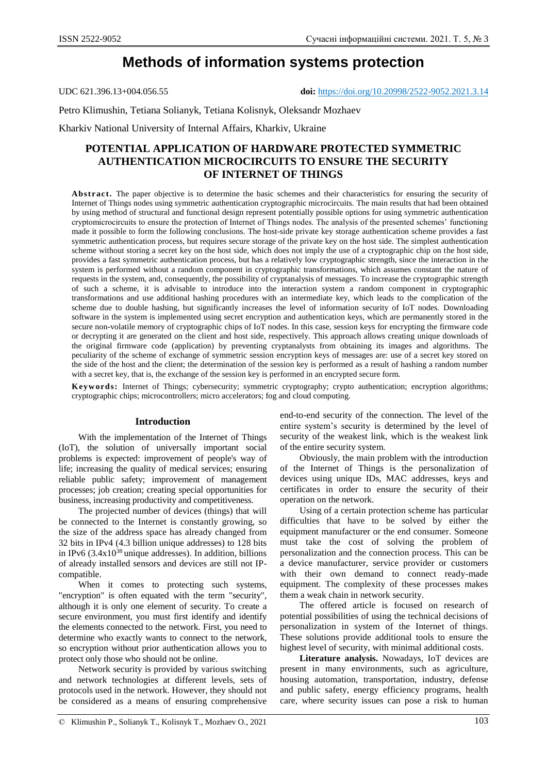# **Methods of information systems protection**

UDC 621.396.13+004.056.55 **doi:** https://doi.org/10.20998/2522-9052.2021.3.14

Petro Klimushin, Tetiana Solianyk, Tetiana Kolisnyk, Oleksandr Mozhaev

Kharkiv National University of Internal Affairs, Kharkiv, Ukraine

## **POTENTIAL APPLICATION OF HARDWARE PROTECTED SYMMETRIC AUTHENTICATION MICROCIRCUITS TO ENSURE THE SECURITY OF INTERNET OF THINGS**

**Abstract.** The paper objective is to determine the basic schemes and their characteristics for ensuring the security of Internet of Things nodes using symmetric authentication cryptographic microcircuits. The main results that had been obtained by using method of structural and functional design represent potentially possible options for using symmetric authentication cryptomicrocircuits to ensure the protection of Internet of Things nodes. The analysis of the presented schemes' functioning made it possible to form the following conclusions. The host-side private key storage authentication scheme provides a fast symmetric authentication process, but requires secure storage of the private key on the host side. The simplest authentication scheme without storing a secret key on the host side, which does not imply the use of a cryptographic chip on the host side, provides a fast symmetric authentication process, but has a relatively low cryptographic strength, since the interaction in the system is performed without a random component in cryptographic transformations, which assumes constant the nature of requests in the system, and, consequently, the possibility of cryptanalysis of messages. To increase the cryptographic strength of such a scheme, it is advisable to introduce into the interaction system a random component in cryptographic transformations and use additional hashing procedures with an intermediate key, which leads to the complication of the scheme due to double hashing, but significantly increases the level of information security of IoT nodes. Downloading software in the system is implemented using secret encryption and authentication keys, which are permanently stored in the secure non-volatile memory of cryptographic chips of IoT nodes. In this case, session keys for encrypting the firmware code or decrypting it are generated on the client and host side, respectively. This approach allows creating unique downloads of the original firmware code (application) by preventing cryptanalysts from obtaining its images and algorithms. The peculiarity of the scheme of exchange of symmetric session encryption keys of messages are: use of a secret key stored on the side of the host and the client; the determination of the session key is performed as a result of hashing a random number with a secret key, that is, the exchange of the session key is performed in an encrypted secure form.

**Keyw ords:** Internet of Things; cybersecurity; symmetric cryptography; crypto authentication; encryption algorithms; cryptographic chips; microcontrollers; micro accelerators; fog and cloud computing.

### **Introduction**

With the implementation of the Internet of Things (IoT), the solution of universally important social problems is expected: improvement of people's way of life; increasing the quality of medical services; ensuring reliable public safety; improvement of management processes; job creation; creating special opportunities for business, increasing productivity and competitiveness.

The projected number of devices (things) that will be connected to the Internet is constantly growing, so the size of the address space has already changed from 32 bits in IPv4 (4.3 billion unique addresses) to 128 bits in IPv6  $(3.4x10^{38})$  unique addresses). In addition, billions of already installed sensors and devices are still not IPcompatible.

When it comes to protecting such systems, "encryption" is often equated with the term "security", although it is only one element of security. To create a secure environment, you must first identify and identify the elements connected to the network. First, you need to determine who exactly wants to connect to the network, so encryption without prior authentication allows you to protect only those who should not be online.

Network security is provided by various switching and network technologies at different levels, sets of protocols used in the network. However, they should not be considered as a means of ensuring comprehensive end-to-end security of the connection. The level of the entire system's security is determined by the level of security of the weakest link, which is the weakest link of the entire security system.

Obviously, the main problem with the introduction of the Internet of Things is the personalization of devices using unique IDs, MAC addresses, keys and certificates in order to ensure the security of their operation on the network.

Using of a certain protection scheme has particular difficulties that have to be solved by either the equipment manufacturer or the end consumer. Someone must take the cost of solving the problem of personalization and the connection process. This can be a device manufacturer, service provider or customers with their own demand to connect ready-made equipment. The complexity of these processes makes them a weak chain in network security.

The offered article is focused on research of potential possibilities of using the technical decisions of personalization in system of the Internet of things. These solutions provide additional tools to ensure the highest level of security, with minimal additional costs.

**Literature analysis.** Nowadays, IoT devices are present in many environments, such as agriculture, housing automation, transportation, industry, defense and public safety, energy efficiency programs, health care, where security issues can pose a risk to human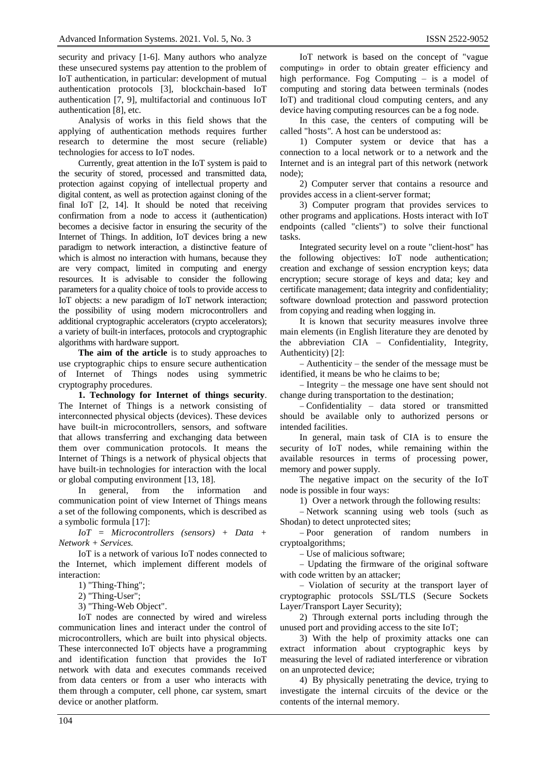security and privacy [1-6]. Many authors who analyze these unsecured systems pay attention to the problem of IoT authentication, in particular: development of mutual authentication protocols [3], blockchain-based IoT authentication [7, 9], multifactorial and continuous IoT authentication [8], etc.

Analysis of works in this field shows that the applying of authentication methods requires further research to determine the most secure (reliable) technologies for access to IoT nodes.

Currently, great attention in the IoT system is paid to the security of stored, processed and transmitted data, protection against copying of intellectual property and digital content, as well as protection against cloning of the final IoT [2, 14]. It should be noted that receiving confirmation from a node to access it (authentication) becomes a decisive factor in ensuring the security of the Internet of Things. In addition, IoT devices bring a new paradigm to network interaction, a distinctive feature of which is almost no interaction with humans, because they are very compact, limited in computing and energy resources. It is advisable to consider the following parameters for a quality choice of tools to provide access to IoT objects: a new paradigm of IoT network interaction; the possibility of using modern microcontrollers and additional cryptographic accelerators (crypto accelerators); a variety of built-in interfaces, protocols and cryptographic algorithms with hardware support.

**The aim of the article** is to study approaches to use cryptographic chips to ensure secure authentication of Internet of Things nodes using symmetric cryptography procedures.

**1. Technology for Internet of things security**. The Internet of Things is a network consisting of interconnected physical objects (devices). These devices have built-in microcontrollers, sensors, and software that allows transferring and exchanging data between them over communication protocols. It means the Internet of Things is a network of physical objects that have built-in technologies for interaction with the local or global computing environment [13, 18].

In general, from the information and communication point of view Internet of Things means a set of the following components, which is described as a symbolic formula [17]:

*IoT = Microcontrollers (sensors) + Data + Network + Services.*

IoT is a network of various IoT nodes connected to the Internet, which implement different models of interaction:

1) "Thing-Thing";

2) "Thing-User";

3) "Thing-Web Object".

IoT nodes are connected by wired and wireless communication lines and interact under the control of microcontrollers, which are built into physical objects. These interconnected IoT objects have a programming and identification function that provides the IoT network with data and executes commands received from data centers or from a user who interacts with them through a computer, cell phone, car system, smart device or another platform.

IoT network is based on the concept of "vague computing» in order to obtain greater efficiency and high performance. Fog Computing – is a model of computing and storing data between terminals (nodes IoT) and traditional cloud computing centers, and any device having computing resources can be a fog node.

In this case, the centers of computing will be called "hosts*"*. A host can be understood as:

1) Computer system or device that has a connection to a local network or to a network and the Internet and is an integral part of this network (network node);

2) Computer server that contains a resource and provides access in a client-server format;

3) Computer program that provides services to other programs and applications. Hosts interact with IoT endpoints (called "clients") to solve their functional tasks.

Integrated security level on a route "client-host" has the following objectives: IoT node authentication; creation and exchange of session encryption keys; data encryption; secure storage of keys and data; key and certificate management; data integrity and confidentiality; software download protection and password protection from copying and reading when logging in.

It is known that security measures involve three main elements (in English literature they are denoted by the abbreviation CIA – Confidentiality, Integrity, Authenticity) [2]:

 Authenticity – the sender of the message must be identified, it means be who he claims to be;

 $-$  Integrity  $-$  the message one have sent should not change during transportation to the destination;

 Confidentiality – data stored or transmitted should be available only to authorized persons or intended facilities.

In general, main task of CIA is to ensure the security of IoT nodes, while remaining within the available resources in terms of processing power, memory and power supply.

The negative impact on the security of the IoT node is possible in four ways:

1) Over a network through the following results:

- Network scanning using web tools (such as Shodan) to detect unprotected sites;

- Poor generation of random numbers in cryptoalgorithms;

Use of malicious software;

 Updating the firmware of the original software with code written by an attacker;

- Violation of security at the transport layer of cryptographic protocols SSL/TLS (Secure Sockets Layer/Transport Layer Security);

2) Through external ports including through the unused port and providing access to the site IoT;

3) With the help of proximity attacks one can extract information about cryptographic keys by measuring the level of radiated interference or vibration on an unprotected device;

4) By physically penetrating the device, trying to investigate the internal circuits of the device or the contents of the internal memory.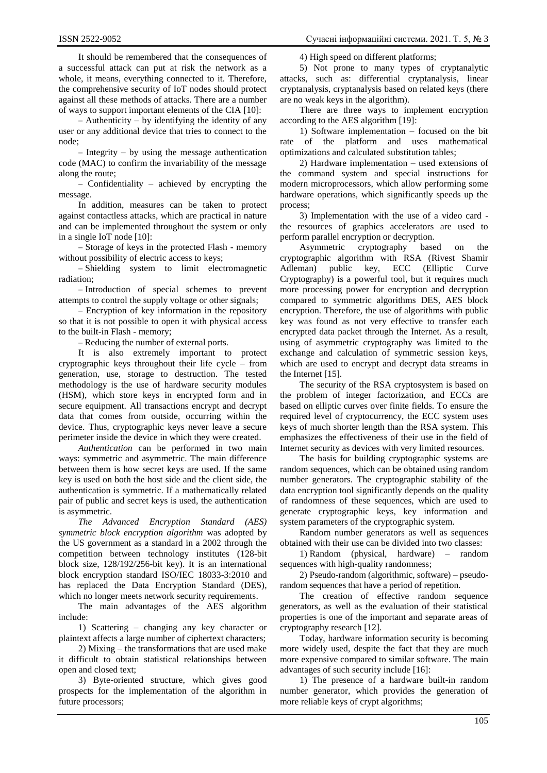It should be remembered that the consequences of a successful attack can put at risk the network as a whole, it means, everything connected to it. Therefore, the comprehensive security of IoT nodes should protect against all these methods of attacks. There are a number of ways to support important elements of the CIA [10]:

 $-$  Authenticity  $-$  by identifying the identity of any user or any additional device that tries to connect to the node;

 $-$  Integrity  $-$  by using the message authentication code (MAC) to confirm the invariability of the message along the route;

 Confidentiality – achieved by encrypting the message.

In addition, measures can be taken to protect against contactless attacks, which are practical in nature and can be implemented throughout the system or only in a single IoT node [10]:

- Storage of keys in the protected Flash - memory without possibility of electric access to keys;

- Shielding system to limit electromagnetic radiation;

- Introduction of special schemes to prevent attempts to control the supply voltage or other signals;

 Encryption of key information in the repository so that it is not possible to open it with physical access to the built-in Flash - memory;

– Reducing the number of external ports.

It is also extremely important to protect cryptographic keys throughout their life cycle – from generation, use, storage to destruction. The tested methodology is the use of hardware security modules (HSM), which store keys in encrypted form and in secure equipment. All transactions encrypt and decrypt data that comes from outside, occurring within the device. Thus, cryptographic keys never leave a secure perimeter inside the device in which they were created.

*Authentication* can be performed in two main ways: symmetric and asymmetric. The main difference between them is how secret keys are used. If the same key is used on both the host side and the client side, the authentication is symmetric. If a mathematically related pair of public and secret keys is used, the authentication is asymmetric.

*The Advanced Encryption Standard (AES) symmetric block encryption algorithm* was adopted by the US government as a standard in a 2002 through the competition between technology institutes (128-bit block size, 128/192/256-bit key). It is an international block encryption standard ISO/IEC 18033-3:2010 and has replaced the Data Encryption Standard (DES), which no longer meets network security requirements.

The main advantages of the AES algorithm include:

1) Scattering – changing any key character or plaintext affects a large number of ciphertext characters;

2) Mixing – the transformations that are used make it difficult to obtain statistical relationships between open and closed text;

3) Byte-oriented structure, which gives good prospects for the implementation of the algorithm in future processors;

4) High speed on different platforms;

5) Not prone to many types of cryptanalytic attacks, such as: differential cryptanalysis, linear cryptanalysis, cryptanalysis based on related keys (there are no weak keys in the algorithm).

There are three ways to implement encryption according to the AES algorithm [19]:

1) Software implementation – focused on the bit rate of the platform and uses mathematical optimizations and calculated substitution tables;

2) Hardware implementation – used extensions of the command system and special instructions for modern microprocessors, which allow performing some hardware operations, which significantly speeds up the process;

3) Implementation with the use of a video card the resources of graphics accelerators are used to perform parallel encryption or decryption.

Asymmetric cryptography based on the cryptographic algorithm with RSA (Rivest Shamir Adleman) public key, ECC (Elliptic Curve Cryptography) is a powerful tool, but it requires much more processing power for encryption and decryption compared to symmetric algorithms DES, AES block encryption. Therefore, the use of algorithms with public key was found as not very effective to transfer each encrypted data packet through the Internet. As a result, using of asymmetric cryptography was limited to the exchange and calculation of symmetric session keys, which are used to encrypt and decrypt data streams in the Internet [15].

The security of the RSA cryptosystem is based on the problem of integer factorization, and ECCs are based on elliptic curves over finite fields. To ensure the required level of cryptocurrency, the ECC system uses keys of much shorter length than the RSA system. This emphasizes the effectiveness of their use in the field of Internet security as devices with very limited resources.

The basis for building cryptographic systems are random sequences, which can be obtained using random number generators. The cryptographic stability of the data encryption tool significantly depends on the quality of randomness of these sequences, which are used to generate cryptographic keys, key information and system parameters of the cryptographic system.

Random number generators as well as sequences obtained with their use can be divided into two classes:

1) Random (physical, hardware) – random sequences with high-quality randomness;

2) Pseudo-random (algorithmic, software) – pseudorandom sequences that have a period of repetition.

The creation of effective random sequence generators, as well as the evaluation of their statistical properties is one of the important and separate areas of cryptography research [12].

Today, hardware information security is becoming more widely used, despite the fact that they are much more expensive compared to similar software. The main advantages of such security include [16]:

1) The presence of a hardware built-in random number generator, which provides the generation of more reliable keys of crypt algorithms;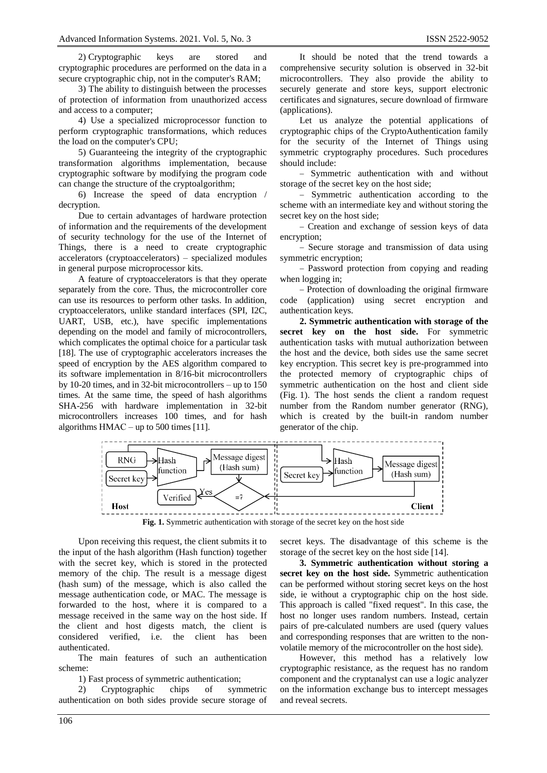2) Cryptographic keys are stored and cryptographic procedures are performed on the data in a secure cryptographic chip, not in the computer's RAM;

3) The ability to distinguish between the processes of protection of information from unauthorized access and access to a computer;

4) Use a specialized microprocessor function to perform cryptographic transformations, which reduces the load on the computer's CPU;

5) Guaranteeing the integrity of the cryptographic transformation algorithms implementation, because cryptographic software by modifying the program code can change the structure of the cryptoalgorithm;

6) Increase the speed of data encryption / decryption.

Due to certain advantages of hardware protection of information and the requirements of the development of security technology for the use of the Internet of Things, there is a need to create cryptographic accelerators (cryptoaccelerators) – specialized modules in general purpose microprocessor kits.

A feature of cryptoaccelerators is that they operate separately from the core. Thus, the microcontroller core can use its resources to perform other tasks. In addition, cryptoaccelerators, unlike standard interfaces (SPI, I2C, UART, USB, etc.), have specific implementations depending on the model and family of microcontrollers, which complicates the optimal choice for a particular task [18]. The use of cryptographic accelerators increases the speed of encryption by the AES algorithm compared to its software implementation in 8/16-bit microcontrollers by 10-20 times, and in 32-bit microcontrollers – up to 150 times. At the same time, the speed of hash algorithms SHA-256 with hardware implementation in 32-bit microcontrollers increases 100 times, and for hash algorithms НМАС – up to 500 times [11].

It should be noted that the trend towards a comprehensive security solution is observed in 32-bit microcontrollers. They also provide the ability to securely generate and store keys, support electronic certificates and signatures, secure download of firmware (applications).

Let us analyze the potential applications of cryptographic chips of the CryptoAuthentication family for the security of the Internet of Things using symmetric cryptography procedures. Such procedures should include:

 Symmetric authentication with and without storage of the secret key on the host side;

 Symmetric authentication according to the scheme with an intermediate key and without storing the secret key on the host side;

- Creation and exchange of session keys of data encryption;

- Secure storage and transmission of data using symmetric encryption;

 Password protection from copying and reading when logging in;

- Protection of downloading the original firmware code (application) using secret encryption and authentication keys.

**2. Symmetric authentication with storage of the secret key on the host side.** For symmetric authentication tasks with mutual authorization between the host and the device, both sides use the same secret key encryption. This secret key is pre-programmed into the protected memory of cryptographic chips of symmetric authentication on the host and client side (Fig. 1). The host sends the client a random request number from the Random number generator (RNG), which is created by the built-in random number generator of the chip.



**Fig. 1.** Symmetric authentication with storage of the secret key on the host side

Upon receiving this request, the client submits it to the input of the hash algorithm (Hash function) together with the secret key, which is stored in the protected memory of the chip. The result is a message digest (hash sum) of the message, which is also called the message authentication code, or MAC. The message is forwarded to the host, where it is compared to a message received in the same way on the host side. If the client and host digests match, the client is considered verified, i.e. the client has been authenticated.

The main features of such an authentication scheme:

1) Fast process of symmetric authentication;

2) Cryptographic chips of symmetric authentication on both sides provide secure storage of

secret keys. The disadvantage of this scheme is the storage of the secret key on the host side [14].

**3. Symmetric authentication without storing a secret key on the host side.** Symmetric authentication can be performed without storing secret keys on the host side, ie without a cryptographic chip on the host side. This approach is called "fixed request". In this case, the host no longer uses random numbers. Instead, certain pairs of pre-calculated numbers are used (query values and corresponding responses that are written to the nonvolatile memory of the microcontroller on the host side).

However, this method has a relatively low cryptographic resistance, as the request has no random component and the cryptanalyst can use a logic analyzer on the information exchange bus to intercept messages and reveal secrets.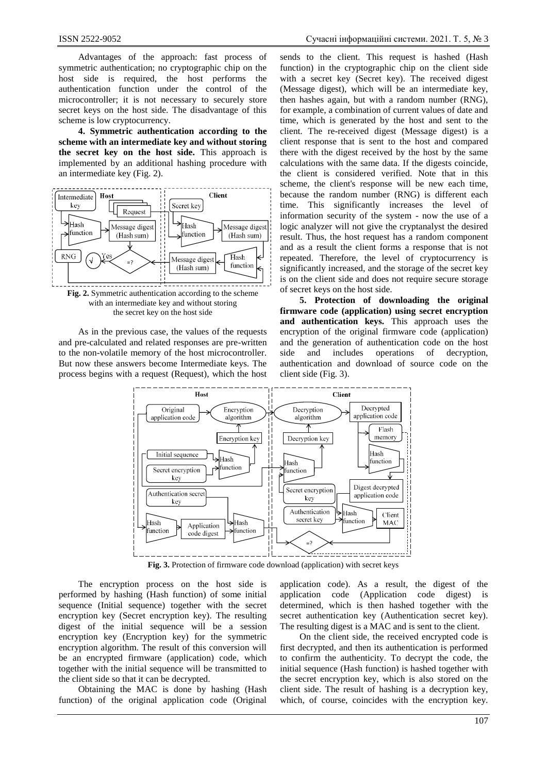Advantages of the approach: fast process of symmetric authentication; no cryptographic chip on the host side is required, the host performs the authentication function under the control of the microcontroller; it is not necessary to securely store secret keys on the host side. The disadvantage of this scheme is low cryptocurrency.

**4. Symmetric authentication according to the scheme with an intermediate key and without storing the secret key on the host side.** This approach is implemented by an additional hashing procedure with an intermediate key (Fig. 2).



As in the previous case, the values of the requests and pre-calculated and related responses are pre-written to the non-volatile memory of the host microcontroller. But now these answers become Intermediate keys. The process begins with a request (Request), which the host

sends to the client. This request is hashed (Hash function) in the cryptographic chip on the client side with a secret key (Secret key). The received digest (Message digest), which will be an intermediate key, then hashes again, but with a random number (RNG), for example, a combination of current values of date and time, which is generated by the host and sent to the client. The re-received digest (Message digest) is a client response that is sent to the host and compared there with the digest received by the host by the same calculations with the same data. If the digests coincide, the client is considered verified. Note that in this scheme, the client's response will be new each time, because the random number (RNG) is different each time. This significantly increases the level of information security of the system - now the use of a logic analyzer will not give the cryptanalyst the desired result. Thus, the host request has a random component and as a result the client forms a response that is not repeated. Therefore, the level of cryptocurrency is significantly increased, and the storage of the secret key is on the client side and does not require secure storage of secret keys on the host side.

**5. Protection of downloading the original firmware code (application) using secret encryption and authentication keys.** This approach uses the encryption of the original firmware code (application) and the generation of authentication code on the host side and includes operations of decryption, authentication and download of source code on the client side (Fig. 3).



**Fig. 3.** Protection of firmware code download (application) with secret keys

The encryption process on the host side is performed by hashing (Hash function) of some initial sequence (Initial sequence) together with the secret encryption key (Secret encryption key). The resulting digest of the initial sequence will be a session encryption key (Encryption key) for the symmetric encryption algorithm. The result of this conversion will be an encrypted firmware (application) code, which together with the initial sequence will be transmitted to the client side so that it can be decrypted.

Obtaining the MAC is done by hashing (Hash function) of the original application code (Original

application code). As a result, the digest of the application code (Application code digest) is determined, which is then hashed together with the secret authentication key (Authentication secret key). The resulting digest is a MAC and is sent to the client.

On the client side, the received encrypted code is first decrypted, and then its authentication is performed to confirm the authenticity. To decrypt the code, the initial sequence (Hash function) is hashed together with the secret encryption key, which is also stored on the client side. The result of hashing is a decryption key, which, of course, coincides with the encryption key.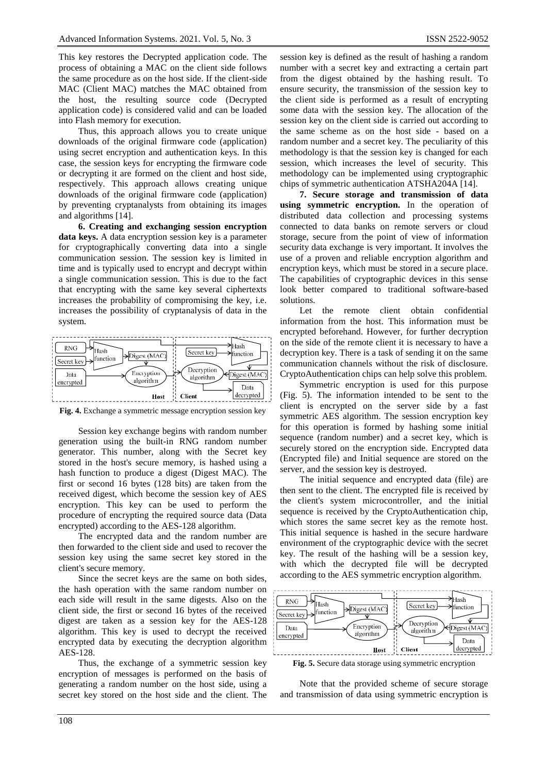This key restores the Decrypted application code. The process of obtaining a MAC on the client side follows the same procedure as on the host side. If the client-side MAC (Client MAC) matches the MAC obtained from the host, the resulting source code (Decrypted application code) is considered valid and can be loaded into Flash memory for execution.

Thus, this approach allows you to create unique downloads of the original firmware code (application) using secret encryption and authentication keys. In this case, the session keys for encrypting the firmware code or decrypting it are formed on the client and host side, respectively. This approach allows creating unique downloads of the original firmware code (application) by preventing cryptanalysts from obtaining its images and algorithms [14].

**6. Creating and exchanging session encryption data keys.** A data encryption session key is a parameter for cryptographically converting data into a single communication session. The session key is limited in time and is typically used to encrypt and decrypt within a single communication session. This is due to the fact that encrypting with the same key several ciphertexts increases the probability of compromising the key, i.e. increases the possibility of cryptanalysis of data in the system.



**Fig. 4.** Exchange a symmetric message encryption session key

Session key exchange begins with random number generation using the built-in RNG random number generator. This number, along with the Secret key stored in the host's secure memory, is hashed using a hash function to produce a digest (Digest MAC). The first or second 16 bytes (128 bits) are taken from the received digest, which become the session key of AES encryption. This key can be used to perform the procedure of encrypting the required source data (Data encrypted) according to the AES-128 algorithm.

The encrypted data and the random number are then forwarded to the client side and used to recover the session key using the same secret key stored in the client's secure memory.

Since the secret keys are the same on both sides, the hash operation with the same random number on each side will result in the same digests. Also on the client side, the first or second 16 bytes of the received digest are taken as a session key for the AES-128 algorithm. This key is used to decrypt the received encrypted data by executing the decryption algorithm AES-128.

Thus, the exchange of a symmetric session key encryption of messages is performed on the basis of generating a random number on the host side, using a secret key stored on the host side and the client. The

session key is defined as the result of hashing a random number with a secret key and extracting a certain part from the digest obtained by the hashing result. To ensure security, the transmission of the session key to the client side is performed as a result of encrypting some data with the session key. The allocation of the session key on the client side is carried out according to the same scheme as on the host side - based on a random number and a secret key. The peculiarity of this methodology is that the session key is changed for each session, which increases the level of security. This methodology can be implemented using cryptographic chips of symmetric authentication ATSHA204A [14].

**7. Secure storage and transmission of data using symmetric encryption.** In the operation of distributed data collection and processing systems connected to data banks on remote servers or cloud storage, secure from the point of view of information security data exchange is very important. It involves the use of a proven and reliable encryption algorithm and encryption keys, which must be stored in a secure place. The capabilities of cryptographic devices in this sense look better compared to traditional software-based solutions.

Let the remote client obtain confidential information from the host. This information must be encrypted beforehand. However, for further decryption on the side of the remote client it is necessary to have a decryption key. There is a task of sending it on the same communication channels without the risk of disclosure. CryptoAuthentication chips can help solve this problem.

Symmetric encryption is used for this purpose (Fig. 5). The information intended to be sent to the client is encrypted on the server side by a fast symmetric AES algorithm. The session encryption key for this operation is formed by hashing some initial sequence (random number) and a secret key, which is securely stored on the encryption side. Encrypted data (Encrypted file) and Initial sequence are stored on the server, and the session key is destroyed.

The initial sequence and encrypted data (file) are then sent to the client. The encrypted file is received by the client's system microcontroller, and the initial sequence is received by the CryptoAuthentication chip, which stores the same secret key as the remote host. This initial sequence is hashed in the secure hardware environment of the cryptographic device with the secret key. The result of the hashing will be a session key, with which the decrypted file will be decrypted according to the AES symmetric encryption algorithm.



**Fig. 5.** Secure data storage using symmetric encryption

Note that the provided scheme of secure storage and transmission of data using symmetric encryption is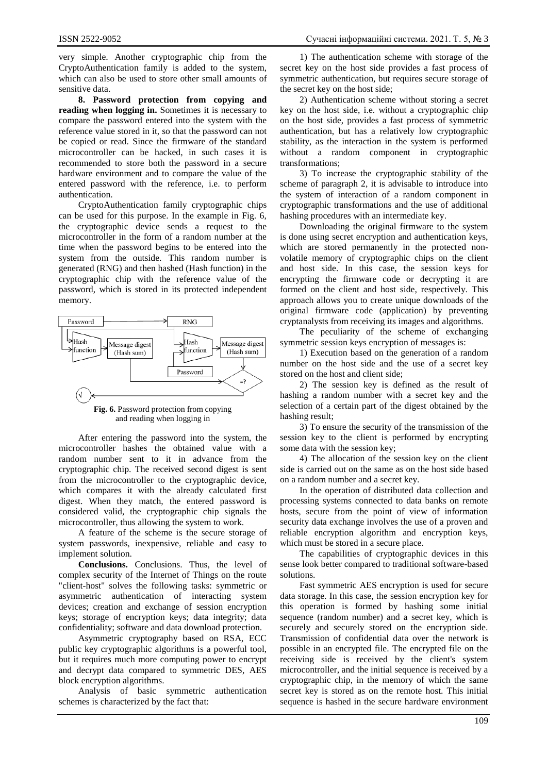very simple. Another cryptographic chip from the CryptoAuthentication family is added to the system, which can also be used to store other small amounts of sensitive data.

**8. Password protection from copying and reading when logging in.** Sometimes it is necessary to compare the password entered into the system with the reference value stored in it, so that the password can not be copied or read. Since the firmware of the standard microcontroller can be hacked, in such cases it is recommended to store both the password in a secure hardware environment and to compare the value of the entered password with the reference, i.e. to perform authentication.

CryptoAuthentication family cryptographic chips can be used for this purpose. In the example in Fig. 6, the cryptographic device sends a request to the microcontroller in the form of a random number at the time when the password begins to be entered into the system from the outside. This random number is generated (RNG) and then hashed (Hash function) in the cryptographic chip with the reference value of the password, which is stored in its protected independent memory.



**Fig. 6.** Password protection from copying and reading when logging in

After entering the password into the system, the microcontroller hashes the obtained value with a random number sent to it in advance from the cryptographic chip. The received second digest is sent from the microcontroller to the cryptographic device, which compares it with the already calculated first digest. When they match, the entered password is considered valid, the cryptographic chip signals the microcontroller, thus allowing the system to work.

A feature of the scheme is the secure storage of system passwords, inexpensive, reliable and easy to implement solution.

**Conclusions.** Conclusions. Thus, the level of complex security of the Internet of Things on the route "client-host" solves the following tasks: symmetric or asymmetric authentication of interacting system devices; creation and exchange of session encryption keys; storage of encryption keys; data integrity; data confidentiality; software and data download protection.

Asymmetric cryptography based on RSA, ECC public key cryptographic algorithms is a powerful tool, but it requires much more computing power to encrypt and decrypt data compared to symmetric DES, AES block encryption algorithms.

Analysis of basic symmetric authentication schemes is characterized by the fact that:

1) The authentication scheme with storage of the secret key on the host side provides a fast process of symmetric authentication, but requires secure storage of the secret key on the host side;

2) Authentication scheme without storing a secret key on the host side, i.e. without a cryptographic chip on the host side, provides a fast process of symmetric authentication, but has a relatively low cryptographic stability, as the interaction in the system is performed without a random component in cryptographic transformations;

3) To increase the cryptographic stability of the scheme of paragraph 2, it is advisable to introduce into the system of interaction of a random component in cryptographic transformations and the use of additional hashing procedures with an intermediate key.

Downloading the original firmware to the system is done using secret encryption and authentication keys, which are stored permanently in the protected nonvolatile memory of cryptographic chips on the client and host side. In this case, the session keys for encrypting the firmware code or decrypting it are formed on the client and host side, respectively. This approach allows you to create unique downloads of the original firmware code (application) by preventing cryptanalysts from receiving its images and algorithms.

The peculiarity of the scheme of exchanging symmetric session keys encryption of messages is:

1) Execution based on the generation of a random number on the host side and the use of a secret key stored on the host and client side;

2) The session key is defined as the result of hashing a random number with a secret key and the selection of a certain part of the digest obtained by the hashing result;

3) To ensure the security of the transmission of the session key to the client is performed by encrypting some data with the session key;

4) The allocation of the session key on the client side is carried out on the same as on the host side based on a random number and a secret key.

In the operation of distributed data collection and processing systems connected to data banks on remote hosts, secure from the point of view of information security data exchange involves the use of a proven and reliable encryption algorithm and encryption keys, which must be stored in a secure place.

The capabilities of cryptographic devices in this sense look better compared to traditional software-based solutions.

Fast symmetric AES encryption is used for secure data storage. In this case, the session encryption key for this operation is formed by hashing some initial sequence (random number) and a secret key, which is securely and securely stored on the encryption side. Transmission of confidential data over the network is possible in an encrypted file. The encrypted file on the receiving side is received by the client's system microcontroller, and the initial sequence is received by a cryptographic chip, in the memory of which the same secret key is stored as on the remote host. This initial sequence is hashed in the secure hardware environment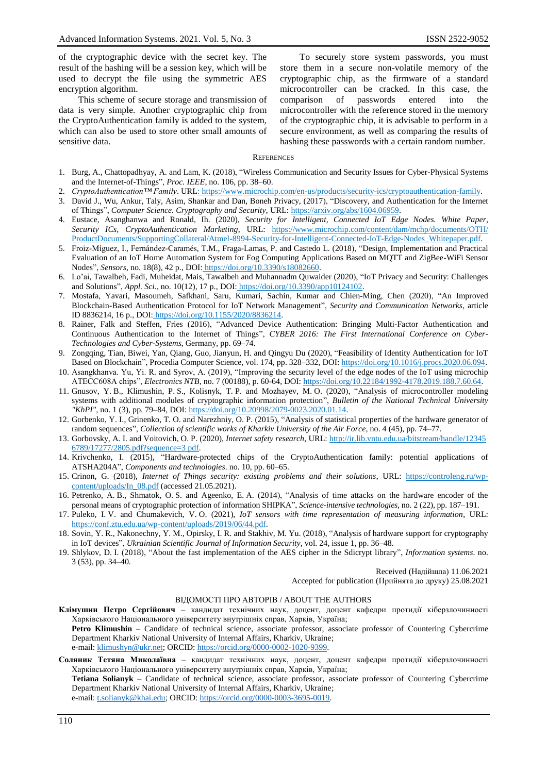of the cryptographic device with the secret key. The result of the hashing will be a session key, which will be used to decrypt the file using the symmetric AES encryption algorithm.

This scheme of secure storage and transmission of data is very simple. Another cryptographic chip from the CryptoAuthentication family is added to the system, which can also be used to store other small amounts of sensitive data.

To securely store system passwords, you must store them in a secure non-volatile memory of the cryptographic chip, as the firmware of a standard microcontroller can be cracked. In this case, the comparison of passwords entered into the microcontroller with the reference stored in the memory of the cryptographic chip, it is advisable to perform in a secure environment, as well as comparing the results of hashing these passwords with a certain random number.

#### **REFERENCES**

- 1. Burg, A., Chattopadhyay, A. and Lam, K. (2018), "Wireless Communication and Security Issues for Cyber-Physical Systems and the Internet-of-Things", *Proc. IEEE*, no. 106, pp. 38–60.
- 2. *CryptoAuthentication™ Family*. URL: https://www.microchip.com/en-us/products/security-ics/cryptoauthentication-family.
- 3. David J., Wu, Ankur, Taly, Asim, Shankar and Dan, Boneh Privacy, (2017), "Discovery, and Authentication for the Internet of Things", *Computer Science. Cryptography and Security*, URL: https://arxiv.org/abs/1604.06959.
- 4. Eustace, Asanghanwa and Ronald, Ih. (2020), *Security for Intelligent, Connected IoT Edge Nodes. White Paper, Security ICs, CryptoAuthentication Marketing*, URL: https://www.microchip.com/content/dam/mchp/documents/OTH/ ProductDocuments/SupportingCollateral/Atmel-8994-Security-for-Intelligent-Connected-IoT-Edge-Nodes\_Whitepaper.pdf.
- 5. Froiz-Míguez, I., Fernández-Caramés, T.M., Fraga-Lamas, P. and Castedo L. (2018), "Design, Implementation and Practical Evaluation of an IoT Home Automation System for Fog Computing Applications Based on MQTT and ZigBee-WiFi Sensor Nodes", *Sensors*, no. 18(8), 42 p., DOI: https://doi.org/10.3390/s18082660.
- 6. Lo'ai, Tawalbeh, Fadi, Muheidat, Mais, Tawalbeh and Muhannadm Quwaider (2020), "IoT Privacy and Security: Challenges and Solutions", *Appl. Sci.*, no. 10(12), 17 p., DOI: https://doi.org/10.3390/app10124102.
- 7. Mostafa, Yavari, Masoumeh, Safkhani, Saru, Kumari, Sachin, Kumar and Chien-Ming, Chen (2020), "An Improved Blockchain-Based Authentication Protocol for IoT Network Management", *Security and Communication Networks*, article ID 8836214, 16 p., DOI: https://doi.org/10.1155/2020/8836214.
- 8. Rainer, Falk and Steffen, Fries (2016), "Advanced Device Authentication: Bringing Multi-Factor Authentication and Continuous Authentication to the Internet of Things", *CYBER 2016: The First International Conference on Cyber-Technologies and Cyber-Systems*, Germany, pp. 69–74.
- 9. Zongqing, Tian, Biwei, Yan, Qiang, Guo, Jianyun, H. and Qingyu Du (2020), "Feasibility of Identity Authentication for IoT Based on Blockchain", Procedia Computer Science, vol. 174, pp. 328–332, DOI: https://doi.org/10.1016/j.procs.2020.06.094.
- 10. Asangkhanva. Yu, Yi. R. and Syrov, A. (2019), "Improving the security level of the edge nodes of the IoT using microchip ATECC608A chips", *Electronics NTB*, no. 7 (00188), p. 60-64, DOI: [https://doi.org/10.22184/1992-4178.2019.188.7.60.64.](https://doi.org/10.22184/1992-4178.2019.188.7.60.64)
- 11. Gnusov, Y. B., Klimushin, P. S., Kolisnyk, T. P. and Mozhayev, M. O. (2020), "Analysis of microcontroller modeling systems with additional modules of cryptographic information protection", *Bulletin of the National Technical University "KhPI"*, no. 1 (3), pp. 79–84, DOI: https://doi.org/10.20998/2079-0023.2020.01.14.
- 12. Gorbenko, Y. I., Grinenko, T. O. and Narezhniy, O. P. (2015), "Analysis of statistical properties of the hardware generator of random sequences", *Collection of scientific works of Kharkiv University of the Air Force*, no. 4 (45), pp. 74–77.
- 13. Gorbovsky, A. I. and Voitovich, O. P. (2020), *Internet safety research*, URL: http://ir.lib.vntu.edu.ua/bitstream/handle/12345 6789/17277/2805.pdf?sequence=3 pdf.
- 14. Krivchenko, I. (2015), "Hardware-protected chips of the CryptoAuthentication family: potential applications of ATSHA204A", *Components and technologies*. no. 10, pp. 60–65.
- 15. Crinon, G. (2018), *Internet of Things security: existing problems and their solutions*, URL: https://controleng.ru/wpcontent/uploads/In\_08.pdf (accessed 21.05.2021).
- 16. Petrenko, A. B., Shmatok, O. S. and Ageenko, E. A. (2014), "Analysis of time attacks on the hardware encoder of the personal means of cryptographic protection of information SHIPKA", *Science-intensive technologies*, no. 2 (22), pp. 187–191.
- 17. Puleko, I. V. and Chumakevich, V. O. (2021), *IoT sensors with time representation of measuring information*, URL: https://conf.ztu.edu.ua/wp-content/uploads/2019/06/44.pdf.
- 18. Sovin, Y. R., Nakonechny, Y. M., Opirsky, I. R. and Stakhiv, M. Yu. (2018), "Analysis of hardware support for cryptography in IoT devices", *Ukrainian Scientific Journal of Information Security*, vol. 24, issue 1, pp. 36–48.
- 19. Shlykov, D. I. (2018), "About the fast implementation of the AES cipher in the Sdicrypt library", *Information systems*. no. 3 (53), pp. 34–40.

Received (Надійшла) 11.06.2021

Accepted for publication (Прийнята до друку) 25.08.2021

#### ВІДОМОСТІ ПРО АВТОРІВ / ABOUT THE AUTHORS

- **Клімушин Петро Сергійович** кандидат технічних наук, доцент, доцент кафедри протидії кіберзлочинності Харківського Національного університету внутрішніх справ, Харків, Україна;
	- **Petro Klimushin** Candidate of technical science, associate professor, associate professor of Countering Cybercrime Department Kharkiv National University of Internal Affairs, Kharkiv, Ukraine; e-mail[: klimushyn@ukr.net;](mailto:klimushyn@ukr.net) ORCID: https://orcid.org/0000-0002-1020-9399.
- **Соляник Тетяна Миколаївна** кандидат технічних наук, доцент, доцент кафедри протидії кіберзлочинності Харківського Національного університету внутрішніх справ, Харків, Україна;

**Tetiana Solianyk** – Candidate of technical science, associate professor, associate professor of Сountering Cybercrime Department Kharkiv National University of Internal Affairs, Kharkiv, Ukraine; e-mail[: t.solianyk@khai.edu;](mailto:t.solianyk@khai.edu) ORCID: https://orcid.org/0000-0003-3695-0019.